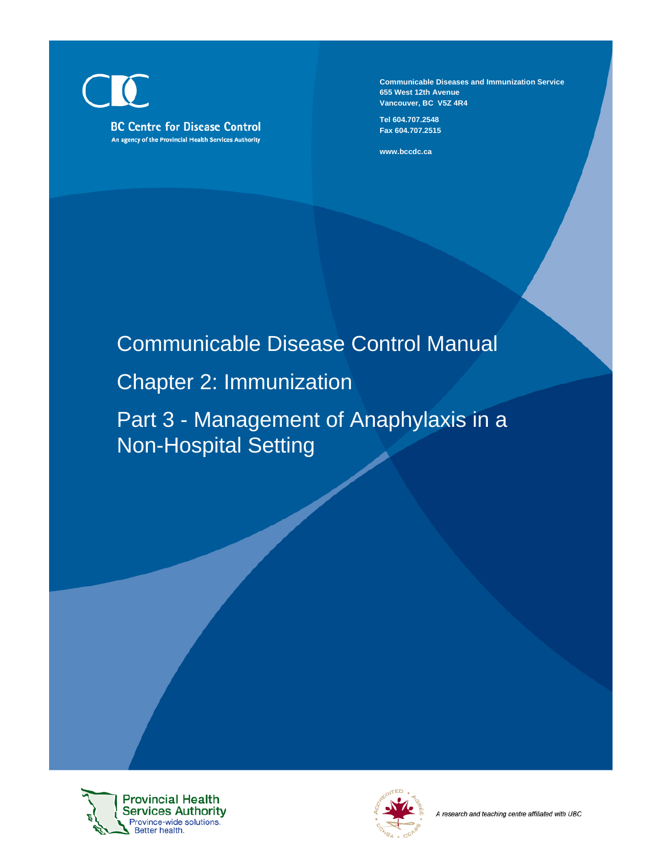**BC Centre for Disease Control** An agency of the Provincial Health Services Authority **Communicable Diseases and Immunization Service 655 West 12th Avenue Vancouver, BC V5Z 4R4**

**Tel 604.707.2548 Fax 604.707.2515**

**www.bccdc.ca**

# Communicable Disease Control Manual

# Chapter 2: Immunization

Part 3 - Management of Anaphylaxis in a Non-Hospital Setting



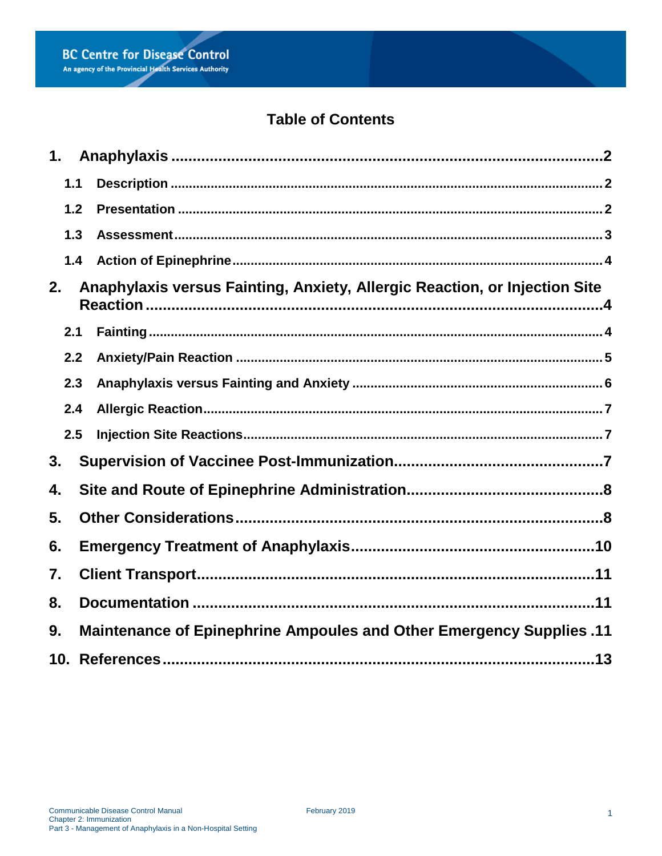# **Table of Contents**

| 1.  |                                                                      |                                                                            |  |  |  |
|-----|----------------------------------------------------------------------|----------------------------------------------------------------------------|--|--|--|
| 1.1 |                                                                      |                                                                            |  |  |  |
| 1.2 |                                                                      |                                                                            |  |  |  |
| 1.3 |                                                                      |                                                                            |  |  |  |
| 1.4 |                                                                      |                                                                            |  |  |  |
| 2.  |                                                                      | Anaphylaxis versus Fainting, Anxiety, Allergic Reaction, or Injection Site |  |  |  |
| 2.1 |                                                                      |                                                                            |  |  |  |
| 2.2 |                                                                      |                                                                            |  |  |  |
| 2.3 |                                                                      |                                                                            |  |  |  |
| 2.4 |                                                                      |                                                                            |  |  |  |
| 2.5 |                                                                      |                                                                            |  |  |  |
| 3.  |                                                                      |                                                                            |  |  |  |
| 4.  |                                                                      |                                                                            |  |  |  |
| 5.  |                                                                      |                                                                            |  |  |  |
| 6.  |                                                                      |                                                                            |  |  |  |
| 7.  |                                                                      |                                                                            |  |  |  |
| 8.  |                                                                      |                                                                            |  |  |  |
| 9.  | Maintenance of Epinephrine Ampoules and Other Emergency Supplies .11 |                                                                            |  |  |  |
|     |                                                                      |                                                                            |  |  |  |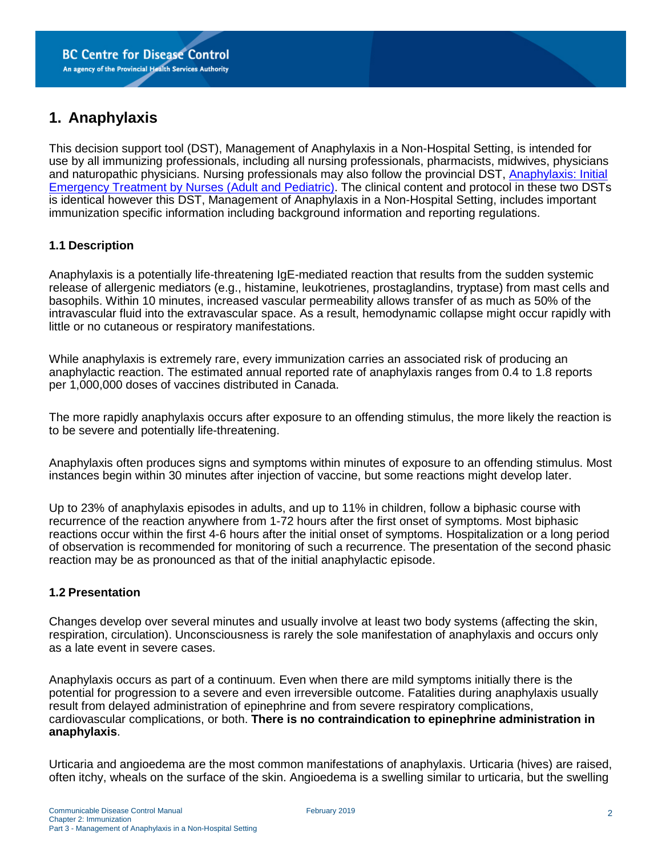# <span id="page-2-0"></span>**1. Anaphylaxis**

This decision support tool (DST), Management of Anaphylaxis in a Non-Hospital Setting, is intended for use by all immunizing professionals, including all nursing professionals, pharmacists, midwives, physicians and naturopathic physicians. Nursing professionals may also follow the provincial DST, [Anaphylaxis: Initial](http://www.bccdc.ca/resource-gallery/Documents/Guidelines%20and%20Forms/Guidelines%20and%20Manuals/Immunization/Vaccine%20Info/Anaphylaxis-Provincial_DST.pdf)  [Emergency Treatment by Nurses \(Adult and Pediatric\).](http://www.bccdc.ca/resource-gallery/Documents/Guidelines%20and%20Forms/Guidelines%20and%20Manuals/Immunization/Vaccine%20Info/Anaphylaxis-Provincial_DST.pdf) The clinical content and protocol in these two DSTs is identical however this DST, Management of Anaphylaxis in a Non-Hospital Setting, includes important immunization specific information including background information and reporting regulations.

#### <span id="page-2-1"></span>**1.1 Description**

Anaphylaxis is a potentially life-threatening IgE-mediated reaction that results from the sudden systemic release of allergenic mediators (e.g., histamine, leukotrienes, prostaglandins, tryptase) from mast cells and basophils. Within 10 minutes, increased vascular permeability allows transfer of as much as 50% of the intravascular fluid into the extravascular space. As a result, hemodynamic collapse might occur rapidly with little or no cutaneous or respiratory manifestations.

While anaphylaxis is extremely rare, every immunization carries an associated risk of producing an anaphylactic reaction. The estimated annual reported rate of anaphylaxis ranges from 0.4 to 1.8 reports per 1,000,000 doses of vaccines distributed in Canada.

The more rapidly anaphylaxis occurs after exposure to an offending stimulus, the more likely the reaction is to be severe and potentially life-threatening.

Anaphylaxis often produces signs and symptoms within minutes of exposure to an offending stimulus. Most instances begin within 30 minutes after injection of vaccine, but some reactions might develop later.

Up to 23% of anaphylaxis episodes in adults, and up to 11% in children, follow a biphasic course with recurrence of the reaction anywhere from 1-72 hours after the first onset of symptoms. Most biphasic reactions occur within the first 4-6 hours after the initial onset of symptoms. Hospitalization or a long period of observation is recommended for monitoring of such a recurrence. The presentation of the second phasic reaction may be as pronounced as that of the initial anaphylactic episode.

#### <span id="page-2-2"></span>**1.2 Presentation**

Changes develop over several minutes and usually involve at least two body systems (affecting the skin, respiration, circulation). Unconsciousness is rarely the sole manifestation of anaphylaxis and occurs only as a late event in severe cases.

Anaphylaxis occurs as part of a continuum. Even when there are mild symptoms initially there is the potential for progression to a severe and even irreversible outcome. Fatalities during anaphylaxis usually result from delayed administration of epinephrine and from severe respiratory complications, cardiovascular complications, or both. **There is no contraindication to epinephrine administration in anaphylaxis**.

Urticaria and angioedema are the most common manifestations of anaphylaxis. Urticaria (hives) are raised, often itchy, wheals on the surface of the skin. Angioedema is a swelling similar to urticaria, but the swelling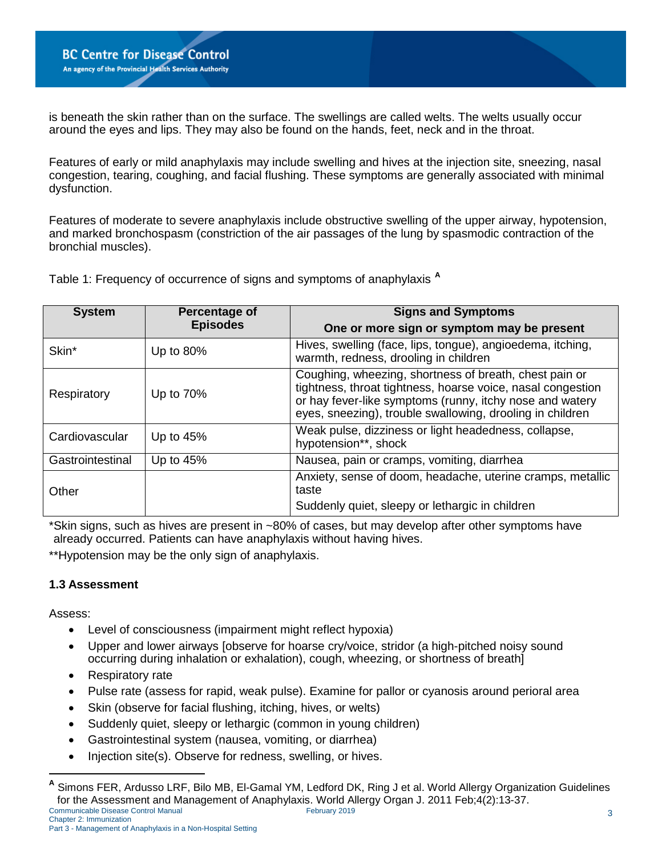is beneath the skin rather than on the surface. The swellings are called welts. The welts usually occur around the eyes and lips. They may also be found on the hands, feet, neck and in the throat.

Features of early or mild anaphylaxis may include swelling and hives at the injection site, sneezing, nasal congestion, tearing, coughing, and facial flushing. These symptoms are generally associated with minimal dysfunction.

Features of moderate to severe anaphylaxis include obstructive swelling of the upper airway, hypotension, and marked bronchospasm (constriction of the air passages of the lung by spasmodic contraction of the bronchial muscles).

Table 1: Frequency of occurrence of signs and symptoms of anaphylaxis **[A](#page-3-1)**

| <b>System</b>    | Percentage of   | <b>Signs and Symptoms</b>                                                                                                                                                                                                                      |  |
|------------------|-----------------|------------------------------------------------------------------------------------------------------------------------------------------------------------------------------------------------------------------------------------------------|--|
|                  | <b>Episodes</b> | One or more sign or symptom may be present                                                                                                                                                                                                     |  |
| Skin*            | Up to 80%       | Hives, swelling (face, lips, tongue), angioedema, itching,<br>warmth, redness, drooling in children                                                                                                                                            |  |
| Respiratory      | Up to 70%       | Coughing, wheezing, shortness of breath, chest pain or<br>tightness, throat tightness, hoarse voice, nasal congestion<br>or hay fever-like symptoms (runny, itchy nose and watery<br>eyes, sneezing), trouble swallowing, drooling in children |  |
| Cardiovascular   | Up to $45%$     | Weak pulse, dizziness or light headedness, collapse,<br>hypotension**, shock                                                                                                                                                                   |  |
| Gastrointestinal | Up to 45%       | Nausea, pain or cramps, vomiting, diarrhea                                                                                                                                                                                                     |  |
| Other            |                 | Anxiety, sense of doom, headache, uterine cramps, metallic<br>taste                                                                                                                                                                            |  |
|                  |                 | Suddenly quiet, sleepy or lethargic in children                                                                                                                                                                                                |  |

\*Skin signs, such as hives are present in ~80% of cases, but may develop after other symptoms have already occurred. Patients can have anaphylaxis without having hives.

\*\*Hypotension may be the only sign of anaphylaxis.

#### <span id="page-3-0"></span>**1.3 Assessment**

Assess:

- Level of consciousness (impairment might reflect hypoxia)
- Upper and lower airways [observe for hoarse cry/voice, stridor (a high-pitched noisy sound occurring during inhalation or exhalation), cough, wheezing, or shortness of breath]
- Respiratory rate
- Pulse rate (assess for rapid, weak pulse). Examine for pallor or cyanosis around perioral area
- Skin (observe for facial flushing, itching, hives, or welts)
- Suddenly quiet, sleepy or lethargic (common in young children)
- Gastrointestinal system (nausea, vomiting, or diarrhea)
- Injection site(s). Observe for redness, swelling, or hives.

<span id="page-3-1"></span>**<sup>A</sup>** Simons FER, Ardusso LRF, Bilo MB, El-Gamal YM, Ledford DK, Ring J et al. World Allergy Organization Guidelines for the Assessment and Management of Anaphylaxis. World Allergy Organ J. 2011 Feb;4(2):13-37.<br>
February 2019<br>
February 2019 Communicable Disease Control Manual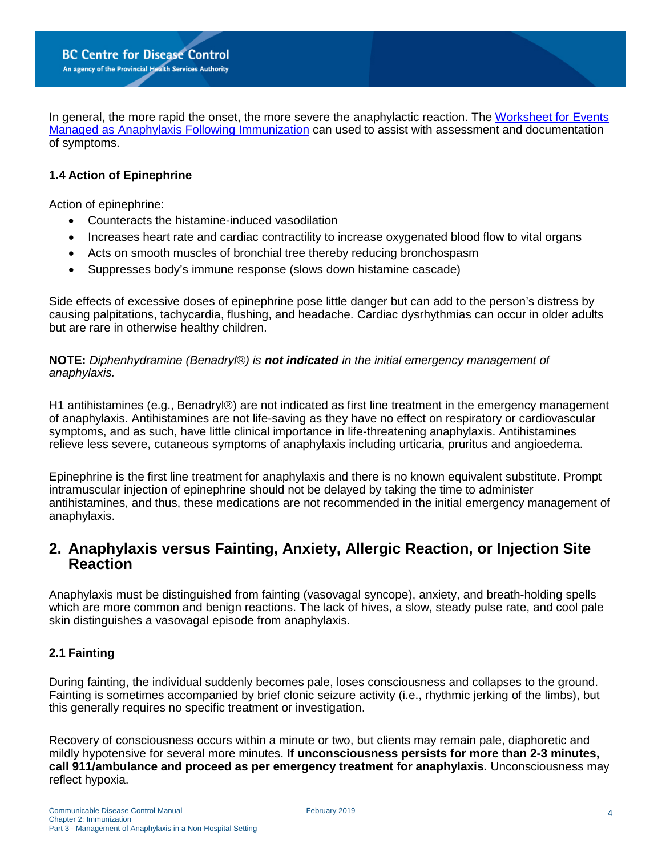In general, the more rapid the onset, the more severe the anaphylactic reaction. The [Worksheet for Events](http://www.bccdc.ca/resource-gallery/Documents/Guidelines%20and%20Forms/Forms/Immunization/Vaccine%20Info/Anaphylaxis_AEFI_form.pdf)  [Managed as Anaphylaxis Following Immunization](http://www.bccdc.ca/resource-gallery/Documents/Guidelines%20and%20Forms/Forms/Immunization/Vaccine%20Info/Anaphylaxis_AEFI_form.pdf) can used to assist with assessment and documentation of symptoms.

#### <span id="page-4-0"></span>**1.4 Action of Epinephrine**

Action of epinephrine:

- Counteracts the histamine-induced vasodilation
- Increases heart rate and cardiac contractility to increase oxygenated blood flow to vital organs
- Acts on smooth muscles of bronchial tree thereby reducing bronchospasm
- Suppresses body's immune response (slows down histamine cascade)

Side effects of excessive doses of epinephrine pose little danger but can add to the person's distress by causing palpitations, tachycardia, flushing, and headache. Cardiac dysrhythmias can occur in older adults but are rare in otherwise healthy children.

**NOTE:** *Diphenhydramine (Benadryl®) is not indicated in the initial emergency management of anaphylaxis.*

H1 antihistamines (e.g., Benadryl®) are not indicated as first line treatment in the emergency management of anaphylaxis. Antihistamines are not life-saving as they have no effect on respiratory or cardiovascular symptoms, and as such, have little clinical importance in life-threatening anaphylaxis. Antihistamines relieve less severe, cutaneous symptoms of anaphylaxis including urticaria, pruritus and angioedema.

Epinephrine is the first line treatment for anaphylaxis and there is no known equivalent substitute. Prompt intramuscular injection of epinephrine should not be delayed by taking the time to administer antihistamines, and thus, these medications are not recommended in the initial emergency management of anaphylaxis.

### <span id="page-4-1"></span>**2. Anaphylaxis versus Fainting, Anxiety, Allergic Reaction, or Injection Site Reaction**

Anaphylaxis must be distinguished from fainting (vasovagal syncope), anxiety, and breath-holding spells which are more common and benign reactions. The lack of hives, a slow, steady pulse rate, and cool pale skin distinguishes a vasovagal episode from anaphylaxis.

#### <span id="page-4-2"></span>**2.1 Fainting**

During fainting, the individual suddenly becomes pale, loses consciousness and collapses to the ground. Fainting is sometimes accompanied by brief clonic seizure activity (i.e., rhythmic jerking of the limbs), but this generally requires no specific treatment or investigation.

Recovery of consciousness occurs within a minute or two, but clients may remain pale, diaphoretic and mildly hypotensive for several more minutes. **If unconsciousness persists for more than 2-3 minutes, call 911/ambulance and proceed as per emergency treatment for anaphylaxis.** Unconsciousness may reflect hypoxia.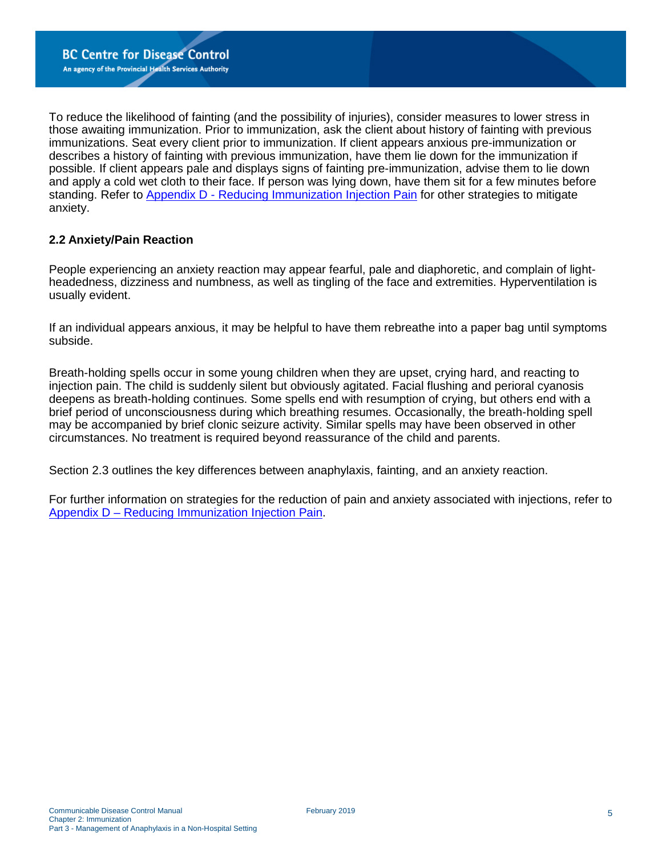To reduce the likelihood of fainting (and the possibility of injuries), consider measures to lower stress in those awaiting immunization. Prior to immunization, ask the client about history of fainting with previous immunizations. Seat every client prior to immunization. If client appears anxious pre-immunization or describes a history of fainting with previous immunization, have them lie down for the immunization if possible. If client appears pale and displays signs of fainting pre-immunization, advise them to lie down and apply a cold wet cloth to their face. If person was lying down, have them sit for a few minutes before standing. Refer to [Appendix D - Reducing Immunization Injection Pain](http://www.bccdc.ca/resource-gallery/Documents/Guidelines%20and%20Forms/Guidelines%20and%20Manuals/Epid/CD%20Manual/Chapter%202%20-%20Imms/Appendix_D_RIIP.pdf) for other strategies to mitigate anxiety.

#### <span id="page-5-0"></span>**2.2 Anxiety/Pain Reaction**

People experiencing an anxiety reaction may appear fearful, pale and diaphoretic, and complain of lightheadedness, dizziness and numbness, as well as tingling of the face and extremities. Hyperventilation is usually evident.

If an individual appears anxious, it may be helpful to have them rebreathe into a paper bag until symptoms subside.

Breath-holding spells occur in some young children when they are upset, crying hard, and reacting to injection pain. The child is suddenly silent but obviously agitated. Facial flushing and perioral cyanosis deepens as breath-holding continues. Some spells end with resumption of crying, but others end with a brief period of unconsciousness during which breathing resumes. Occasionally, the breath-holding spell may be accompanied by brief clonic seizure activity. Similar spells may have been observed in other circumstances. No treatment is required beyond reassurance of the child and parents.

Section 2.3 outlines the key differences between anaphylaxis, fainting, and an anxiety reaction.

For further information on strategies for the reduction of pain and anxiety associated with injections, refer to [Appendix D – Reducing Immunization Injection Pain.](http://www.bccdc.ca/resource-gallery/Documents/Guidelines%20and%20Forms/Guidelines%20and%20Manuals/Epid/CD%20Manual/Chapter%202%20-%20Imms/Appendix_D_RIIP.pdf)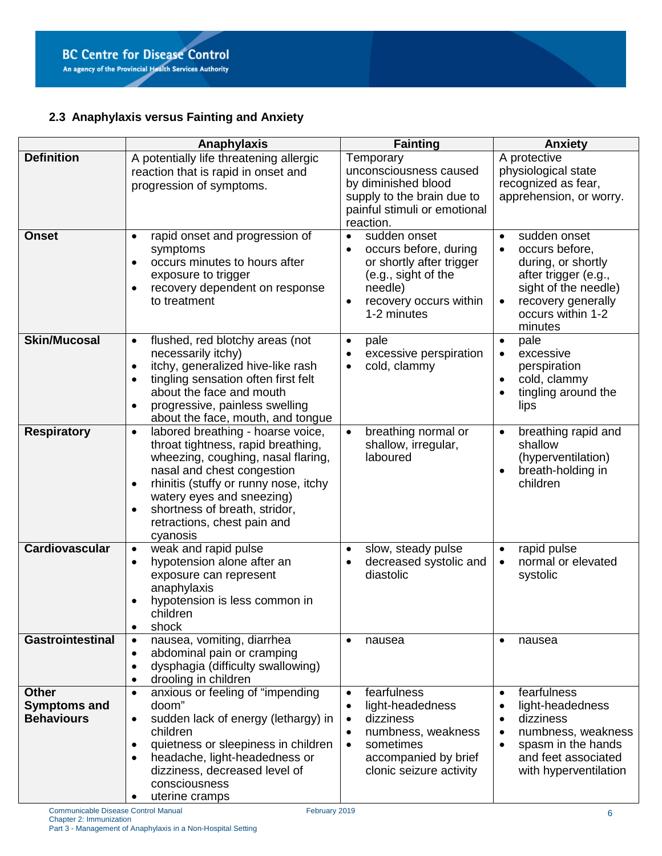### <span id="page-6-0"></span>**2.3 Anaphylaxis versus Fainting and Anxiety**

|                                                          | Anaphylaxis                                                                                                                                                                                                                                                                                                                          | <b>Fainting</b>                                                                                                                                                                                     | <b>Anxiety</b>                                                                                                                                                                                            |
|----------------------------------------------------------|--------------------------------------------------------------------------------------------------------------------------------------------------------------------------------------------------------------------------------------------------------------------------------------------------------------------------------------|-----------------------------------------------------------------------------------------------------------------------------------------------------------------------------------------------------|-----------------------------------------------------------------------------------------------------------------------------------------------------------------------------------------------------------|
| <b>Definition</b>                                        | A potentially life threatening allergic<br>reaction that is rapid in onset and<br>progression of symptoms.                                                                                                                                                                                                                           | Temporary<br>unconsciousness caused<br>by diminished blood<br>supply to the brain due to<br>painful stimuli or emotional<br>reaction.                                                               | A protective<br>physiological state<br>recognized as fear,<br>apprehension, or worry.                                                                                                                     |
| <b>Onset</b>                                             | rapid onset and progression of<br>$\bullet$<br>symptoms<br>occurs minutes to hours after<br>$\bullet$<br>exposure to trigger<br>recovery dependent on response<br>$\bullet$<br>to treatment                                                                                                                                          | sudden onset<br>$\bullet$<br>occurs before, during<br>$\bullet$<br>or shortly after trigger<br>(e.g., sight of the<br>needle)<br>recovery occurs within<br>$\bullet$<br>1-2 minutes                 | sudden onset<br>$\bullet$<br>occurs before,<br>$\bullet$<br>during, or shortly<br>after trigger (e.g.,<br>sight of the needle)<br>recovery generally<br>$\bullet$<br>occurs within 1-2<br>minutes         |
| <b>Skin/Mucosal</b>                                      | flushed, red blotchy areas (not<br>$\bullet$<br>necessarily itchy)<br>itchy, generalized hive-like rash<br>$\bullet$<br>tingling sensation often first felt<br>$\bullet$<br>about the face and mouth<br>progressive, painless swelling<br>$\bullet$<br>about the face, mouth, and tongue                                             | pale<br>$\bullet$<br>excessive perspiration<br>$\bullet$<br>cold, clammy<br>$\bullet$                                                                                                               | pale<br>$\bullet$<br>excessive<br>$\bullet$<br>perspiration<br>cold, clammy<br>$\bullet$<br>tingling around the<br>$\bullet$<br>lips                                                                      |
| <b>Respiratory</b>                                       | labored breathing - hoarse voice,<br>$\bullet$<br>throat tightness, rapid breathing,<br>wheezing, coughing, nasal flaring,<br>nasal and chest congestion<br>rhinitis (stuffy or runny nose, itchy<br>$\bullet$<br>watery eyes and sneezing)<br>shortness of breath, stridor,<br>$\bullet$<br>retractions, chest pain and<br>cyanosis | breathing normal or<br>$\bullet$<br>shallow, irregular,<br>laboured                                                                                                                                 | breathing rapid and<br>$\bullet$<br>shallow<br>(hyperventilation)<br>breath-holding in<br>$\bullet$<br>children                                                                                           |
| <b>Cardiovascular</b>                                    | weak and rapid pulse<br>$\bullet$<br>hypotension alone after an<br>$\bullet$<br>exposure can represent<br>anaphylaxis<br>hypotension is less common in<br>children<br>shock<br>$\bullet$                                                                                                                                             | slow, steady pulse<br>$\bullet$<br>decreased systolic and<br>$\bullet$<br>diastolic                                                                                                                 | rapid pulse<br>$\bullet$<br>normal or elevated<br>$\bullet$<br>systolic                                                                                                                                   |
| <b>Gastrointestinal</b>                                  | nausea, vomiting, diarrhea<br>$\bullet$<br>abdominal pain or cramping<br>$\bullet$<br>dysphagia (difficulty swallowing)<br>$\bullet$<br>drooling in children<br>$\bullet$                                                                                                                                                            | nausea<br>$\bullet$                                                                                                                                                                                 | nausea<br>$\bullet$                                                                                                                                                                                       |
| <b>Other</b><br><b>Symptoms and</b><br><b>Behaviours</b> | anxious or feeling of "impending<br>$\bullet$<br>doom"<br>sudden lack of energy (lethargy) in<br>$\bullet$<br>children<br>quietness or sleepiness in children<br>$\bullet$<br>headache, light-headedness or<br>dizziness, decreased level of<br>consciousness<br>uterine cramps                                                      | fearfulness<br>$\bullet$<br>light-headedness<br>$\bullet$<br>dizziness<br>$\bullet$<br>numbness, weakness<br>$\bullet$<br>sometimes<br>$\bullet$<br>accompanied by brief<br>clonic seizure activity | fearfulness<br>$\bullet$<br>light-headedness<br>$\bullet$<br>dizziness<br>$\bullet$<br>numbness, weakness<br>$\bullet$<br>spasm in the hands<br>$\bullet$<br>and feet associated<br>with hyperventilation |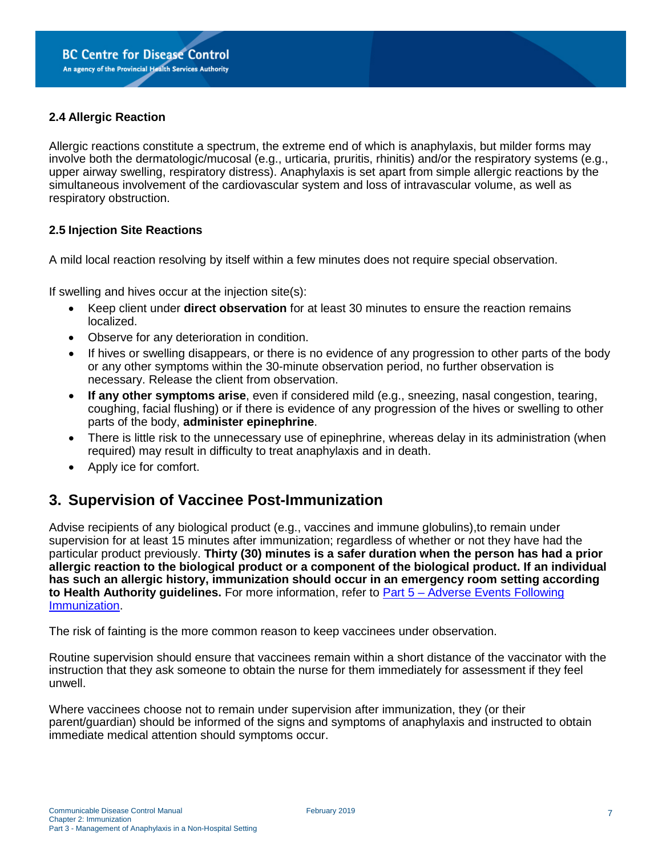#### <span id="page-7-0"></span>**2.4 Allergic Reaction**

Allergic reactions constitute a spectrum, the extreme end of which is anaphylaxis, but milder forms may involve both the dermatologic/mucosal (e.g., urticaria, pruritis, rhinitis) and/or the respiratory systems (e.g., upper airway swelling, respiratory distress). Anaphylaxis is set apart from simple allergic reactions by the simultaneous involvement of the cardiovascular system and loss of intravascular volume, as well as respiratory obstruction.

#### <span id="page-7-1"></span>**2.5 Injection Site Reactions**

A mild local reaction resolving by itself within a few minutes does not require special observation.

If swelling and hives occur at the injection site(s):

- Keep client under **direct observation** for at least 30 minutes to ensure the reaction remains localized.
- Observe for any deterioration in condition.
- If hives or swelling disappears, or there is no evidence of any progression to other parts of the body or any other symptoms within the 30-minute observation period, no further observation is necessary. Release the client from observation.
- **If any other symptoms arise**, even if considered mild (e.g., sneezing, nasal congestion, tearing, coughing, facial flushing) or if there is evidence of any progression of the hives or swelling to other parts of the body, **administer epinephrine**.
- There is little risk to the unnecessary use of epinephrine, whereas delay in its administration (when required) may result in difficulty to treat anaphylaxis and in death.
- Apply ice for comfort.

### <span id="page-7-2"></span>**3. Supervision of Vaccinee Post-Immunization**

Advise recipients of any biological product (e.g., vaccines and immune globulins),to remain under supervision for at least 15 minutes after immunization; regardless of whether or not they have had the particular product previously. **Thirty (30) minutes is a safer duration when the person has had a prior allergic reaction to the biological product or a component of the biological product. If an individual has such an allergic history, immunization should occur in an emergency room setting according to Health Authority guidelines.** For more information, refer to [Part 5 – Adverse Events Following](http://www.bccdc.ca/resource-gallery/Documents/Guidelines%20and%20Forms/Guidelines%20and%20Manuals/Epid/CD%20Manual/Chapter%202%20-%20Imms/Part_5_AEFI.pdf)  [Immunization.](http://www.bccdc.ca/resource-gallery/Documents/Guidelines%20and%20Forms/Guidelines%20and%20Manuals/Epid/CD%20Manual/Chapter%202%20-%20Imms/Part_5_AEFI.pdf)

The risk of fainting is the more common reason to keep vaccinees under observation.

Routine supervision should ensure that vaccinees remain within a short distance of the vaccinator with the instruction that they ask someone to obtain the nurse for them immediately for assessment if they feel unwell.

Where vaccinees choose not to remain under supervision after immunization, they (or their parent/guardian) should be informed of the signs and symptoms of anaphylaxis and instructed to obtain immediate medical attention should symptoms occur.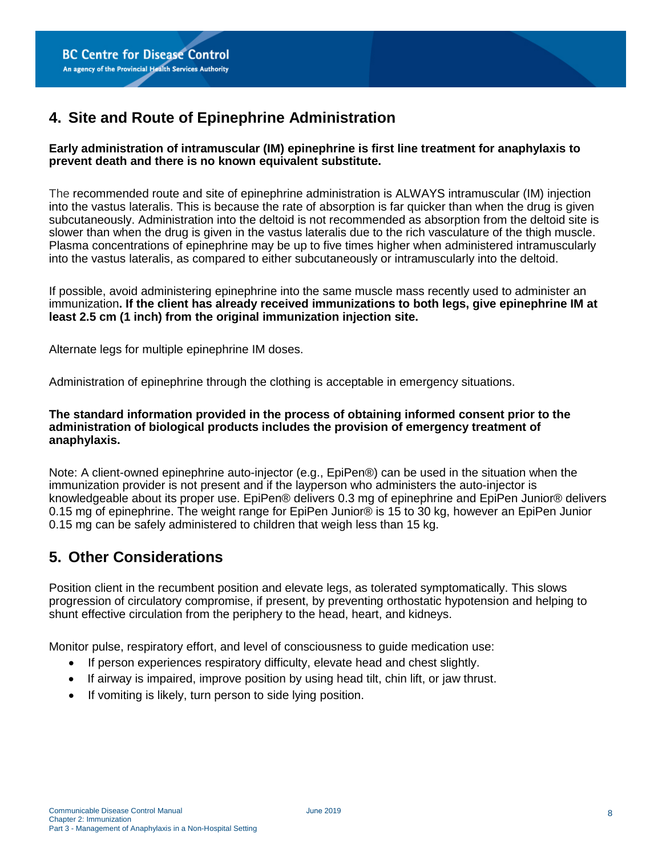# <span id="page-8-0"></span>**4. Site and Route of Epinephrine Administration**

#### **Early administration of intramuscular (IM) epinephrine is first line treatment for anaphylaxis to prevent death and there is no known equivalent substitute.**

The recommended route and site of epinephrine administration is ALWAYS intramuscular (IM) injection into the vastus lateralis. This is because the rate of absorption is far quicker than when the drug is given subcutaneously. Administration into the deltoid is not recommended as absorption from the deltoid site is slower than when the drug is given in the vastus lateralis due to the rich vasculature of the thigh muscle. Plasma concentrations of epinephrine may be up to five times higher when administered intramuscularly into the vastus lateralis, as compared to either subcutaneously or intramuscularly into the deltoid.

If possible, avoid administering epinephrine into the same muscle mass recently used to administer an immunization**. If the client has already received immunizations to both legs, give epinephrine IM at least 2.5 cm (1 inch) from the original immunization injection site.**

Alternate legs for multiple epinephrine IM doses.

Administration of epinephrine through the clothing is acceptable in emergency situations.

#### **The standard information provided in the process of obtaining informed consent prior to the administration of biological products includes the provision of emergency treatment of anaphylaxis.**

Note: A client-owned epinephrine auto-injector (e.g., EpiPen®) can be used in the situation when the immunization provider is not present and if the layperson who administers the auto-injector is knowledgeable about its proper use. EpiPen® delivers 0.3 mg of epinephrine and EpiPen Junior® delivers 0.15 mg of epinephrine. The weight range for EpiPen Junior® is 15 to 30 kg, however an EpiPen Junior 0.15 mg can be safely administered to children that weigh less than 15 kg.

## <span id="page-8-1"></span>**5. Other Considerations**

Position client in the recumbent position and elevate legs, as tolerated symptomatically. This slows progression of circulatory compromise, if present, by preventing orthostatic hypotension and helping to shunt effective circulation from the periphery to the head, heart, and kidneys.

Monitor pulse, respiratory effort, and level of consciousness to guide medication use:

- If person experiences respiratory difficulty, elevate head and chest slightly.
- If airway is impaired, improve position by using head tilt, chin lift, or jaw thrust.
- If vomiting is likely, turn person to side lying position.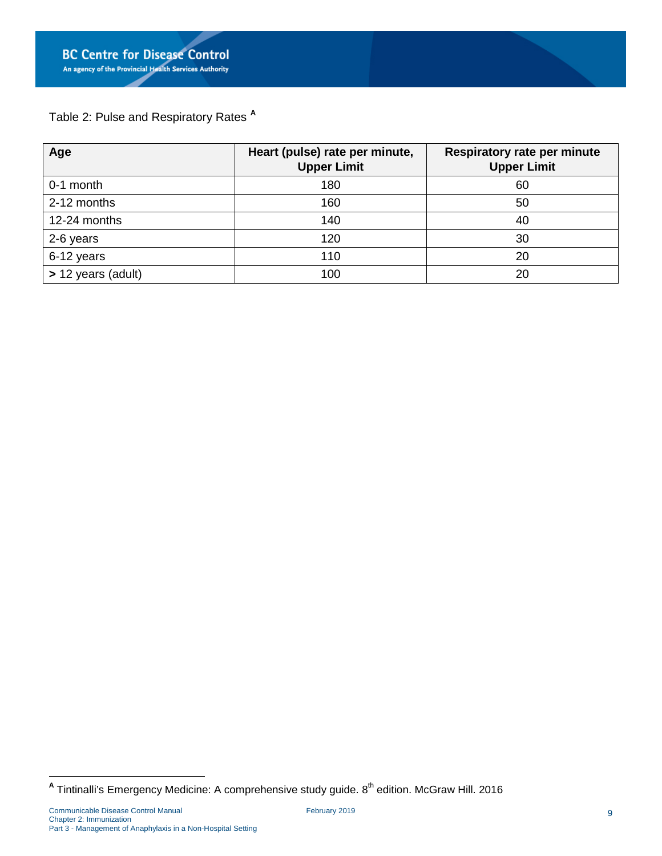Table 2: Pulse and Respiratory Rates **[A](#page-9-0)**

| Age                | Heart (pulse) rate per minute,<br><b>Upper Limit</b> | <b>Respiratory rate per minute</b><br><b>Upper Limit</b> |
|--------------------|------------------------------------------------------|----------------------------------------------------------|
| 0-1 month          | 180                                                  | 60                                                       |
| 2-12 months        | 160                                                  | 50                                                       |
| 12-24 months       | 140                                                  | 40                                                       |
| 2-6 years          | 120                                                  | 30                                                       |
| 6-12 years         | 110                                                  | 20                                                       |
| > 12 years (adult) | 100                                                  | 20                                                       |

<span id="page-9-0"></span><sup>&</sup>lt;sup>A</sup> Tintinalli's Emergency Medicine: A comprehensive study guide. 8<sup>th</sup> edition. McGraw Hill. 2016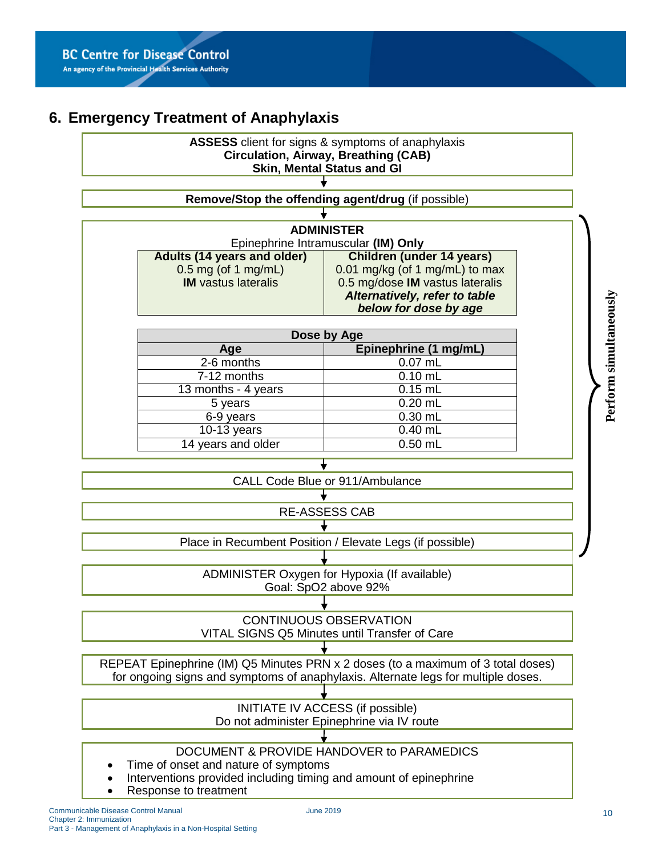# <span id="page-10-0"></span>**6. Emergency Treatment of Anaphylaxis**



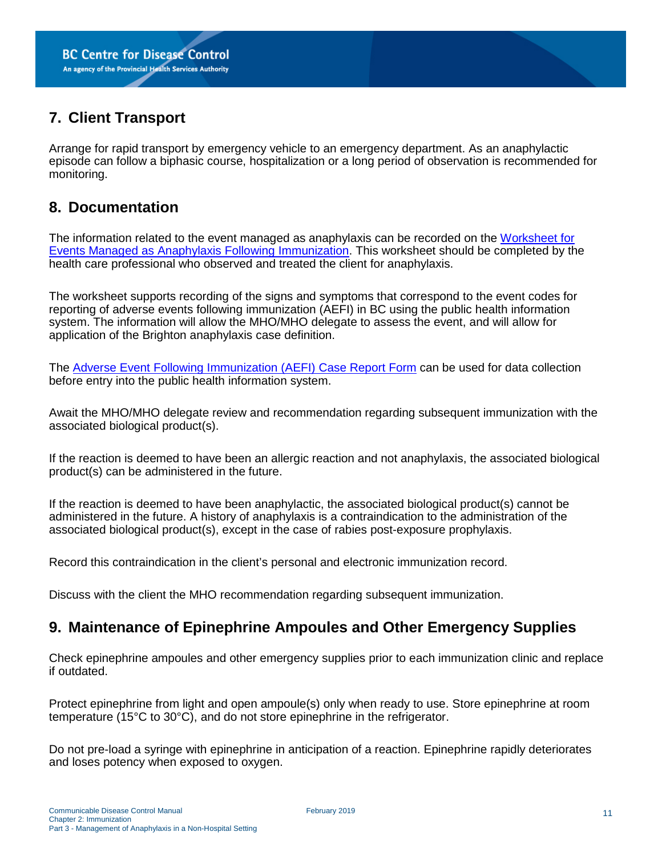## <span id="page-11-0"></span>**7. Client Transport**

Arrange for rapid transport by emergency vehicle to an emergency department. As an anaphylactic episode can follow a biphasic course, hospitalization or a long period of observation is recommended for monitoring.

### <span id="page-11-1"></span>**8. Documentation**

The information related to the event managed as anaphylaxis can be recorded on the [Worksheet for](http://www.bccdc.ca/resource-gallery/Documents/Guidelines%20and%20Forms/Forms/Immunization/Vaccine%20Info/Anaphylaxis_AEFI_form.pdf)  [Events Managed as Anaphylaxis Following Immunization.](http://www.bccdc.ca/resource-gallery/Documents/Guidelines%20and%20Forms/Forms/Immunization/Vaccine%20Info/Anaphylaxis_AEFI_form.pdf) This worksheet should be completed by the health care professional who observed and treated the client for anaphylaxis.

The worksheet supports recording of the signs and symptoms that correspond to the event codes for reporting of adverse events following immunization (AEFI) in BC using the public health information system. The information will allow the MHO/MHO delegate to assess the event, and will allow for application of the Brighton anaphylaxis case definition.

The [Adverse Event Following Immunization \(AEFI\) Case Report Form](http://www.bccdc.ca/resource-gallery/Documents/Guidelines%20and%20Forms/Forms/Immunization/Vaccine%20Info/AEFICaseReportForm.pdf) can be used for data collection before entry into the public health information system.

Await the MHO/MHO delegate review and recommendation regarding subsequent immunization with the associated biological product(s).

If the reaction is deemed to have been an allergic reaction and not anaphylaxis, the associated biological product(s) can be administered in the future.

If the reaction is deemed to have been anaphylactic, the associated biological product(s) cannot be administered in the future. A history of anaphylaxis is a contraindication to the administration of the associated biological product(s), except in the case of rabies post-exposure prophylaxis.

Record this contraindication in the client's personal and electronic immunization record.

Discuss with the client the MHO recommendation regarding subsequent immunization.

### <span id="page-11-2"></span>**9. Maintenance of Epinephrine Ampoules and Other Emergency Supplies**

Check epinephrine ampoules and other emergency supplies prior to each immunization clinic and replace if outdated.

Protect epinephrine from light and open ampoule(s) only when ready to use. Store epinephrine at room temperature (15°C to 30°C), and do not store epinephrine in the refrigerator.

Do not pre-load a syringe with epinephrine in anticipation of a reaction. Epinephrine rapidly deteriorates and loses potency when exposed to oxygen.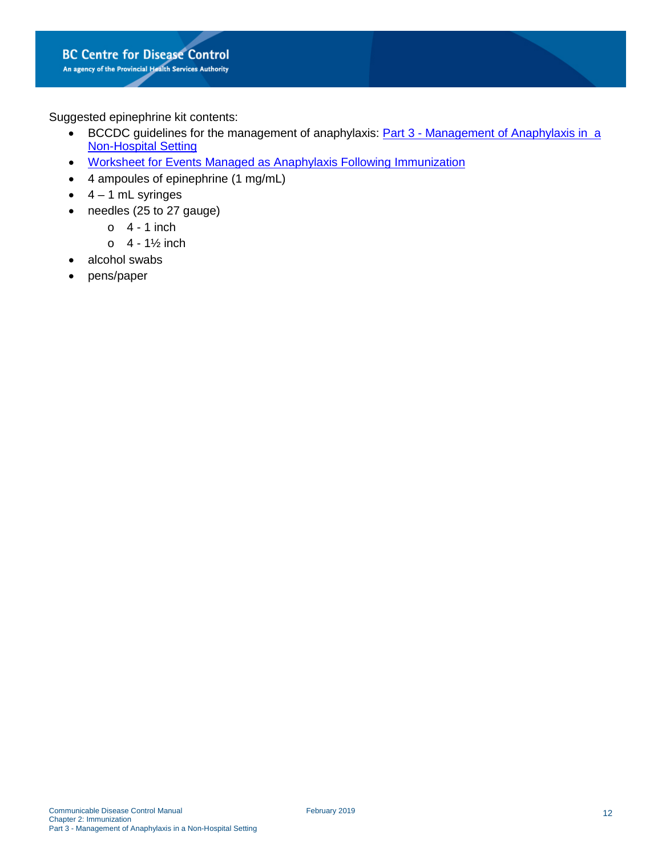Suggested epinephrine kit contents:

- BCCDC guidelines for the management of anaphylaxis: Part 3 Management of Anaphylaxis in a [Non-Hospital Setting](http://www.bccdc.ca/resource-gallery/Documents/Guidelines%20and%20Forms/Guidelines%20and%20Manuals/Epid/CD%20Manual/Chapter%202%20-%20Imms/Part_3_Anaphylaxis.pdf)
- [Worksheet for Events Managed as Anaphylaxis Following Immunization](http://www.bccdc.ca/resource-gallery/Documents/Guidelines%20and%20Forms/Forms/Immunization/Vaccine%20Info/Anaphylaxis_AEFI_form.pdf)
- 4 ampoules of epinephrine (1 mg/mL)
- $\bullet$  4 1 mL syringes
- needles (25 to 27 gauge)
	- $0 \quad 4 1$  inch
	- $0 \quad 4 1\frac{1}{2}$  inch
- alcohol swabs
- pens/paper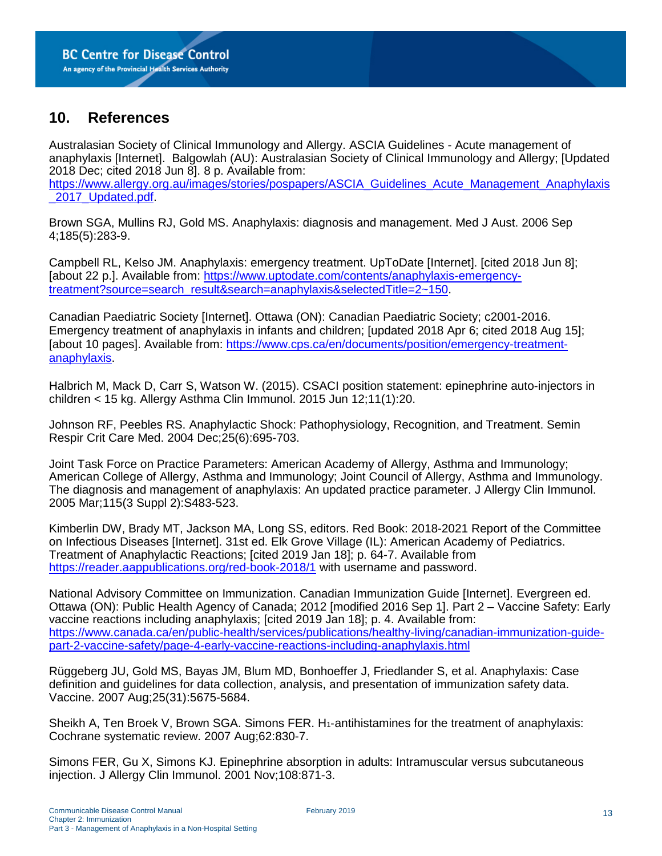### <span id="page-13-0"></span>**10. References**

Australasian Society of Clinical Immunology and Allergy. ASCIA Guidelines - Acute management of anaphylaxis [Internet]. Balgowlah (AU): Australasian Society of Clinical Immunology and Allergy; [Updated 2018 Dec; cited 2018 Jun 8]. 8 p. Available from: [https://www.allergy.org.au/images/stories/pospapers/ASCIA\\_Guidelines\\_Acute\\_Management\\_Anaphylaxis](https://www.allergy.org.au/images/stories/pospapers/ASCIA_Guidelines_Acute_Management_Anaphylaxis_2017_Updated.pdf) 2017 Updated.pdf

Brown SGA, Mullins RJ, Gold MS. Anaphylaxis: diagnosis and management. Med J Aust. 2006 Sep 4;185(5):283-9.

Campbell RL, Kelso JM. Anaphylaxis: emergency treatment. UpToDate [Internet]. [cited 2018 Jun 8]; [about 22 p.]. Available from: [https://www.uptodate.com/contents/anaphylaxis-emergency](https://www.uptodate.com/contents/anaphylaxis-emergency-treatment?source=search_result&search=anaphylaxis&selectedTitle=2%7E150)[treatment?source=search\\_result&search=anaphylaxis&selectedTitle=2~150.](https://www.uptodate.com/contents/anaphylaxis-emergency-treatment?source=search_result&search=anaphylaxis&selectedTitle=2%7E150)

Canadian Paediatric Society [Internet]. Ottawa (ON): Canadian Paediatric Society; c2001-2016. Emergency treatment of anaphylaxis in infants and children; [updated 2018 Apr 6; cited 2018 Aug 15]; [about 10 pages]. Available from: [https://www.cps.ca/en/documents/position/emergency-treatment](https://www.cps.ca/en/documents/position/emergency-treatment-anaphylaxis)[anaphylaxis.](https://www.cps.ca/en/documents/position/emergency-treatment-anaphylaxis)

Halbrich M, Mack D, Carr S, Watson W. (2015). CSACI position statement: epinephrine auto-injectors in children < 15 kg. Allergy Asthma Clin Immunol. 2015 Jun 12;11(1):20.

Johnson RF, Peebles RS. Anaphylactic Shock: Pathophysiology, Recognition, and Treatment. Semin Respir Crit Care Med. 2004 Dec;25(6):695-703.

Joint Task Force on Practice Parameters: American Academy of Allergy, Asthma and Immunology; American College of Allergy, Asthma and Immunology; Joint Council of Allergy, Asthma and Immunology. The diagnosis and management of anaphylaxis: An updated practice parameter. J Allergy Clin Immunol. 2005 Mar;115(3 Suppl 2):S483-523.

Kimberlin DW, Brady MT, Jackson MA, Long SS, editors. Red Book: 2018-2021 Report of the Committee on Infectious Diseases [Internet]. 31st ed. Elk Grove Village (IL): American Academy of Pediatrics. Treatment of Anaphylactic Reactions; [cited 2019 Jan 18]; p. 64-7. Available from <https://reader.aappublications.org/red-book-2018/1> with username and password.

National Advisory Committee on Immunization. Canadian Immunization Guide [Internet]. Evergreen ed. Ottawa (ON): Public Health Agency of Canada; 2012 [modified 2016 Sep 1]. Part 2 – Vaccine Safety: Early vaccine reactions including anaphylaxis; [cited 2019 Jan 18]; p. 4. Available from: [https://www.canada.ca/en/public-health/services/publications/healthy-living/canadian-immunization-guide](https://www.canada.ca/en/public-health/services/publications/healthy-living/canadian-immunization-guide-part-2-vaccine-safety/page-4-early-vaccine-reactions-including-anaphylaxis.html)[part-2-vaccine-safety/page-4-early-vaccine-reactions-including-anaphylaxis.html](https://www.canada.ca/en/public-health/services/publications/healthy-living/canadian-immunization-guide-part-2-vaccine-safety/page-4-early-vaccine-reactions-including-anaphylaxis.html)

Rüggeberg JU, Gold MS, Bayas JM, Blum MD, Bonhoeffer J, Friedlander S, et al. Anaphylaxis: Case definition and guidelines for data collection, analysis, and presentation of immunization safety data. Vaccine. 2007 Aug;25(31):5675-5684.

Sheikh A, Ten Broek V, Brown SGA. Simons FER. H<sub>1</sub>-antihistamines for the treatment of anaphylaxis: Cochrane systematic review. 2007 Aug;62:830-7.

Simons FER, Gu X, Simons KJ. Epinephrine absorption in adults: Intramuscular versus subcutaneous injection. J Allergy Clin Immunol. 2001 Nov;108:871-3.